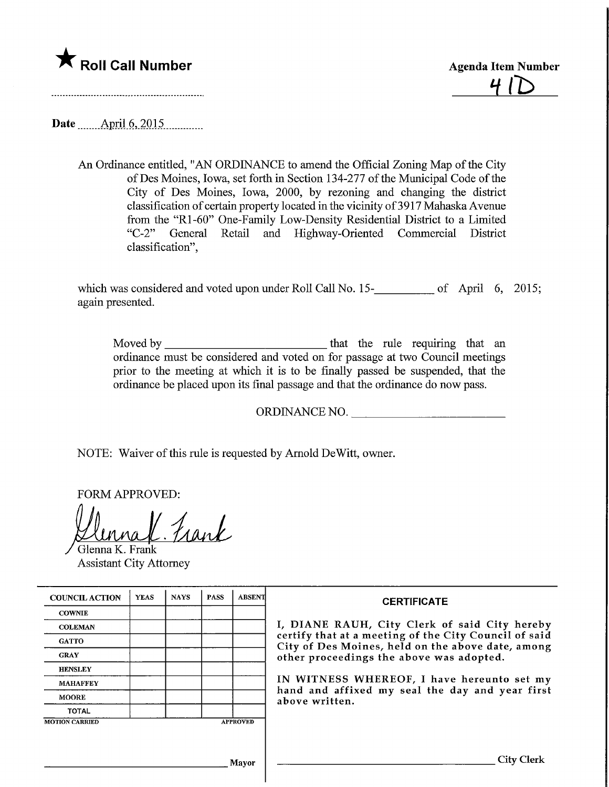

 $41D$ 

Date .Apnl.6,2015,

An Ordinance entitled, "AN ORDINANCE to amend the Official Zoning Map of the City ofDes Moines, Iowa, set forth in Section 134-277 of the Municipal Code of the City of Des Moines, Iowa, 2000, by rezoning and changing the district classification of certain property located in the vicinity of 3917 Mahaska Avenue from the "Rl-60" One-Family Low-Density Residential District to a Limited "C-2" General Retail and Highway-Oriented Commercial District classification",

which was considered and voted upon under Roll Call No. 15-<br>15.15 [2015] of April 6, 2015; again presented.

Moved by that the rule requiring that an ordinance must be considered and voted on for passage at two Council meetings prior to the meeting at which it is to be finally passed be suspended, that the ordinance be placed upon its final passage and that the ordinance do now pass.

ORDINANCE NO.

NOTE: Waiver of this rule is requested by Arnold DeWitt, owner.

FORM APPROVED:

nal Frank Glenna K. Frank

Assistant City Attorney

| <b>COUNCIL ACTION</b> | <b>YEAS</b> | <b>NAYS</b> | <b>PASS</b> | ABSENT          | <b>CERTIFICATE</b>                                                                                                                                                                                      |  |  |
|-----------------------|-------------|-------------|-------------|-----------------|---------------------------------------------------------------------------------------------------------------------------------------------------------------------------------------------------------|--|--|
| <b>COWNIE</b>         |             |             |             |                 | I, DIANE RAUH, City Clerk of said City hereby<br>certify that at a meeting of the City Council of said<br>City of Des Moines, held on the above date, among<br>other proceedings the above was adopted. |  |  |
| <b>COLEMAN</b>        |             |             |             |                 |                                                                                                                                                                                                         |  |  |
| <b>GATTO</b>          |             |             |             |                 |                                                                                                                                                                                                         |  |  |
| <b>GRAY</b>           |             |             |             |                 |                                                                                                                                                                                                         |  |  |
| <b>HENSLEY</b>        |             |             |             |                 |                                                                                                                                                                                                         |  |  |
| <b>MAHAFFEY</b>       |             |             |             |                 | IN WITNESS WHEREOF, I have hereunto set my<br>hand and affixed my seal the day and year first<br>above written.                                                                                         |  |  |
| <b>MOORE</b>          |             |             |             |                 |                                                                                                                                                                                                         |  |  |
| <b>TOTAL</b>          |             |             |             |                 |                                                                                                                                                                                                         |  |  |
| <b>MOTION CARRIED</b> |             |             |             | <b>APPROVED</b> |                                                                                                                                                                                                         |  |  |
|                       |             |             |             |                 |                                                                                                                                                                                                         |  |  |
|                       |             |             |             |                 |                                                                                                                                                                                                         |  |  |
| <b>Mayor</b>          |             |             |             |                 | City Clerk                                                                                                                                                                                              |  |  |